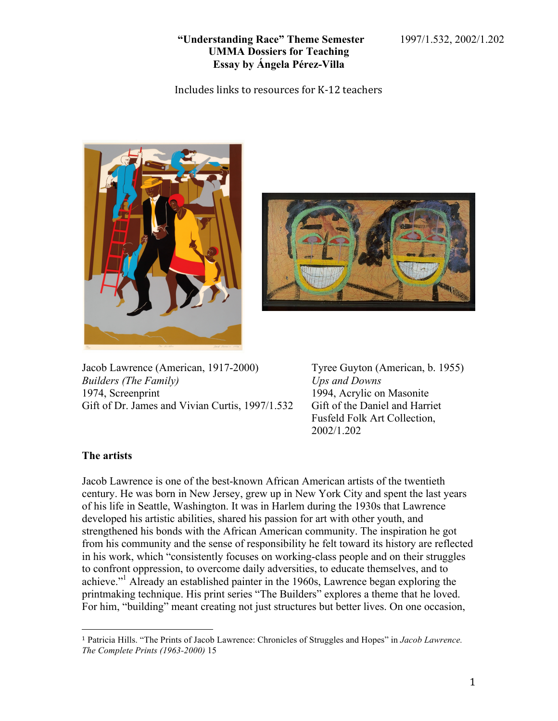Includes links to resources for K-12 teachers





Jacob Lawrence (American, 1917-2000) Tyree Guyton (American, b. 1955) *Builders (The Family) Ups and Downs*  1974, Screenprint 1994, Acrylic on Masonite Gift of Dr. James and Vivian Curtis, 1997/1.532 Gift of the Daniel and Harriet

Fusfeld Folk Art Collection, 2002/1.202

# **The artists**

 

Jacob Lawrence is one of the best-known African American artists of the twentieth century. He was born in New Jersey, grew up in New York City and spent the last years of his life in Seattle, Washington. It was in Harlem during the 1930s that Lawrence developed his artistic abilities, shared his passion for art with other youth, and strengthened his bonds with the African American community. The inspiration he got from his community and the sense of responsibility he felt toward its history are reflected in his work, which "consistently focuses on working-class people and on their struggles to confront oppression, to overcome daily adversities, to educate themselves, and to achieve."1 Already an established painter in the 1960s, Lawrence began exploring the printmaking technique. His print series "The Builders" explores a theme that he loved. For him, "building" meant creating not just structures but better lives. On one occasion,

<sup>1</sup> Patricia Hills. "The Prints of Jacob Lawrence: Chronicles of Struggles and Hopes" in *Jacob Lawrence. The Complete Prints (1963-2000)* 15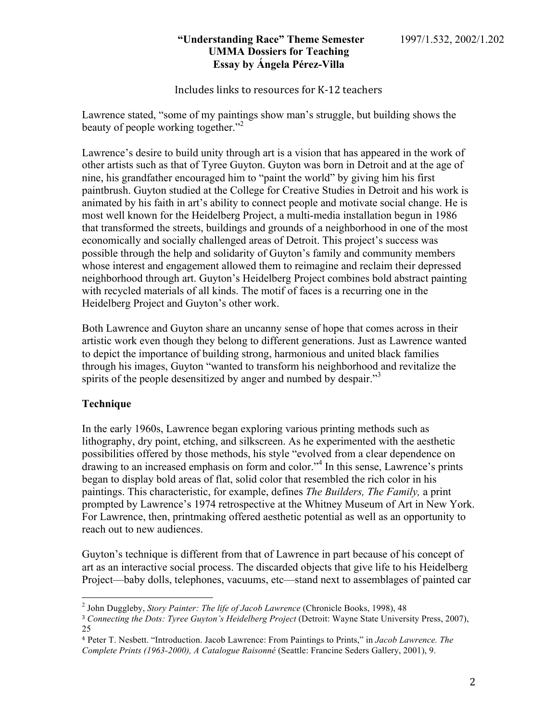Includes links to resources for K-12 teachers

Lawrence stated, "some of my paintings show man's struggle, but building shows the beauty of people working together."<sup>2</sup>

Lawrence's desire to build unity through art is a vision that has appeared in the work of other artists such as that of Tyree Guyton. Guyton was born in Detroit and at the age of nine, his grandfather encouraged him to "paint the world" by giving him his first paintbrush. Guyton studied at the College for Creative Studies in Detroit and his work is animated by his faith in art's ability to connect people and motivate social change. He is most well known for the Heidelberg Project, a multi-media installation begun in 1986 that transformed the streets, buildings and grounds of a neighborhood in one of the most economically and socially challenged areas of Detroit. This project's success was possible through the help and solidarity of Guyton's family and community members whose interest and engagement allowed them to reimagine and reclaim their depressed neighborhood through art. Guyton's Heidelberg Project combines bold abstract painting with recycled materials of all kinds. The motif of faces is a recurring one in the Heidelberg Project and Guyton's other work.

Both Lawrence and Guyton share an uncanny sense of hope that comes across in their artistic work even though they belong to different generations. Just as Lawrence wanted to depict the importance of building strong, harmonious and united black families through his images, Guyton "wanted to transform his neighborhood and revitalize the spirits of the people desensitized by anger and numbed by despair."<sup>3</sup>

# **Technique**

In the early 1960s, Lawrence began exploring various printing methods such as lithography, dry point, etching, and silkscreen. As he experimented with the aesthetic possibilities offered by those methods, his style "evolved from a clear dependence on drawing to an increased emphasis on form and color."<sup>4</sup> In this sense, Lawrence's prints began to display bold areas of flat, solid color that resembled the rich color in his paintings. This characteristic, for example, defines *The Builders, The Family,* a print prompted by Lawrence's 1974 retrospective at the Whitney Museum of Art in New York. For Lawrence, then, printmaking offered aesthetic potential as well as an opportunity to reach out to new audiences.

Guyton's technique is different from that of Lawrence in part because of his concept of art as an interactive social process. The discarded objects that give life to his Heidelberg Project—baby dolls, telephones, vacuums, etc—stand next to assemblages of painted car

 <sup>2</sup> John Duggleby, *Story Painter: The life of Jacob Lawrence* (Chronicle Books, 1998), 48

<sup>3</sup> *Connecting the Dots: Tyree Guyton's Heidelberg Project* (Detroit: Wayne State University Press, 2007), 25

<sup>4</sup> Peter T. Nesbett. "Introduction. Jacob Lawrence: From Paintings to Prints," in *Jacob Lawrence. The Complete Prints (1963-2000), A Catalogue Raisonné* (Seattle: Francine Seders Gallery, 2001), 9.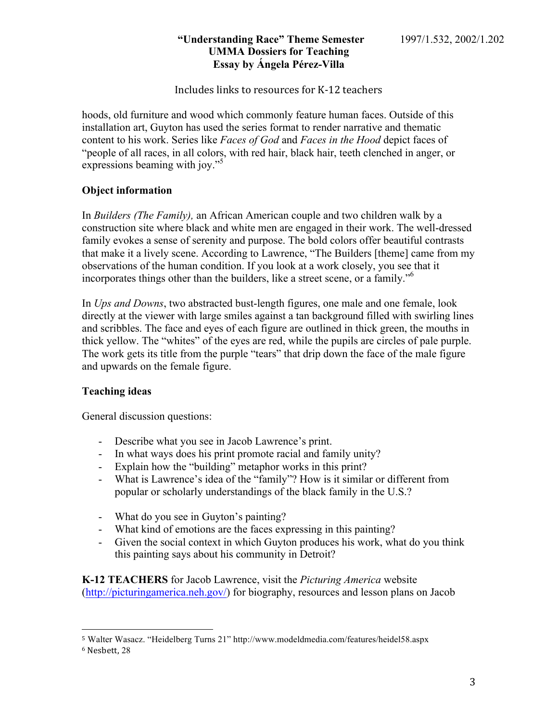Includes links to resources for K-12 teachers

hoods, old furniture and wood which commonly feature human faces. Outside of this installation art, Guyton has used the series format to render narrative and thematic content to his work. Series like *Faces of God* and *Faces in the Hood* depict faces of "people of all races, in all colors, with red hair, black hair, teeth clenched in anger, or expressions beaming with joy."<sup>5</sup>

# **Object information**

In *Builders (The Family),* an African American couple and two children walk by a construction site where black and white men are engaged in their work. The well-dressed family evokes a sense of serenity and purpose. The bold colors offer beautiful contrasts that make it a lively scene. According to Lawrence, "The Builders [theme] came from my observations of the human condition. If you look at a work closely, you see that it incorporates things other than the builders, like a street scene, or a family."<sup>6</sup>

In *Ups and Downs*, two abstracted bust-length figures, one male and one female, look directly at the viewer with large smiles against a tan background filled with swirling lines and scribbles. The face and eyes of each figure are outlined in thick green, the mouths in thick yellow. The "whites" of the eyes are red, while the pupils are circles of pale purple. The work gets its title from the purple "tears" that drip down the face of the male figure and upwards on the female figure.

# **Teaching ideas**

General discussion questions:

 

- Describe what you see in Jacob Lawrence's print.
- In what ways does his print promote racial and family unity?
- Explain how the "building" metaphor works in this print?
- What is Lawrence's idea of the "family"? How is it similar or different from popular or scholarly understandings of the black family in the U.S.?
- What do you see in Guyton's painting?
- What kind of emotions are the faces expressing in this painting?
- Given the social context in which Guyton produces his work, what do you think this painting says about his community in Detroit?

**K-12 TEACHERS** for Jacob Lawrence, visit the *Picturing America* website (http://picturingamerica.neh.gov/) for biography, resources and lesson plans on Jacob

<sup>5</sup> Walter Wasacz. "Heidelberg Turns 21" http://www.modeldmedia.com/features/heidel58.aspx

<sup>6</sup> Nesbett, 28